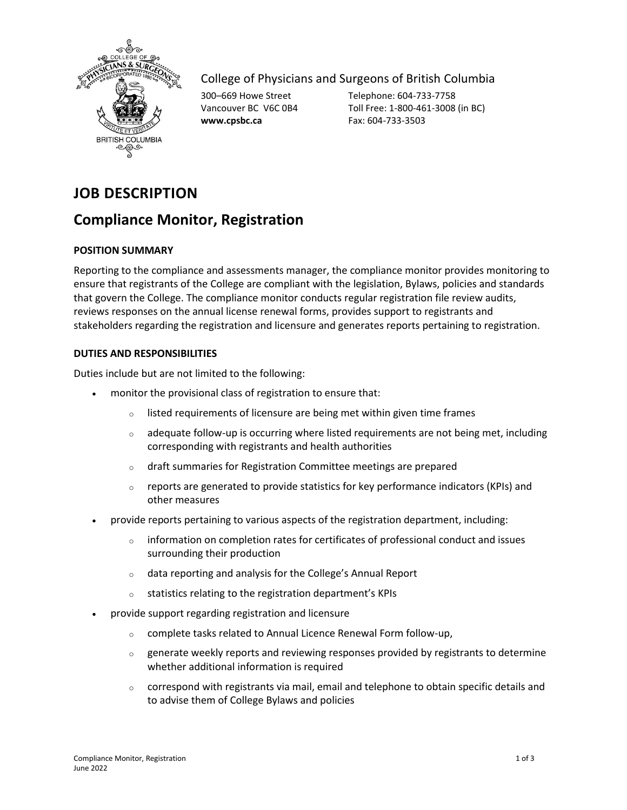

## College of Physicians and Surgeons of British Columbia

**www.cpsbc.ca** Fax: 604-733-3503

300–669 Howe Street Telephone: 604-733-7758 Vancouver BC V6C 0B4 Toll Free: 1-800-461-3008 (in BC)

# **JOB DESCRIPTION**

## **Compliance Monitor, Registration**

## **POSITION SUMMARY**

Reporting to the compliance and assessments manager, the compliance monitor provides monitoring to ensure that registrants of the College are compliant with the legislation, Bylaws, policies and standards that govern the College. The compliance monitor conducts regular registration file review audits, reviews responses on the annual license renewal forms, provides support to registrants and stakeholders regarding the registration and licensure and generates reports pertaining to registration.

### **DUTIES AND RESPONSIBILITIES**

Duties include but are not limited to the following:

- monitor the provisional class of registration to ensure that:
	- $\circ$  listed requirements of licensure are being met within given time frames
	- $\circ$  adequate follow-up is occurring where listed requirements are not being met, including corresponding with registrants and health authorities
	- o draft summaries for Registration Committee meetings are prepared
	- $\circ$  reports are generated to provide statistics for key performance indicators (KPIs) and other measures
- provide reports pertaining to various aspects of the registration department, including:
	- $\circ$  information on completion rates for certificates of professional conduct and issues surrounding their production
	- o data reporting and analysis for the College's Annual Report
	- o statistics relating to the registration department's KPIs
- provide support regarding registration and licensure
	- o complete tasks related to Annual Licence Renewal Form follow-up,
	- $\circ$  generate weekly reports and reviewing responses provided by registrants to determine whether additional information is required
	- $\circ$  correspond with registrants via mail, email and telephone to obtain specific details and to advise them of College Bylaws and policies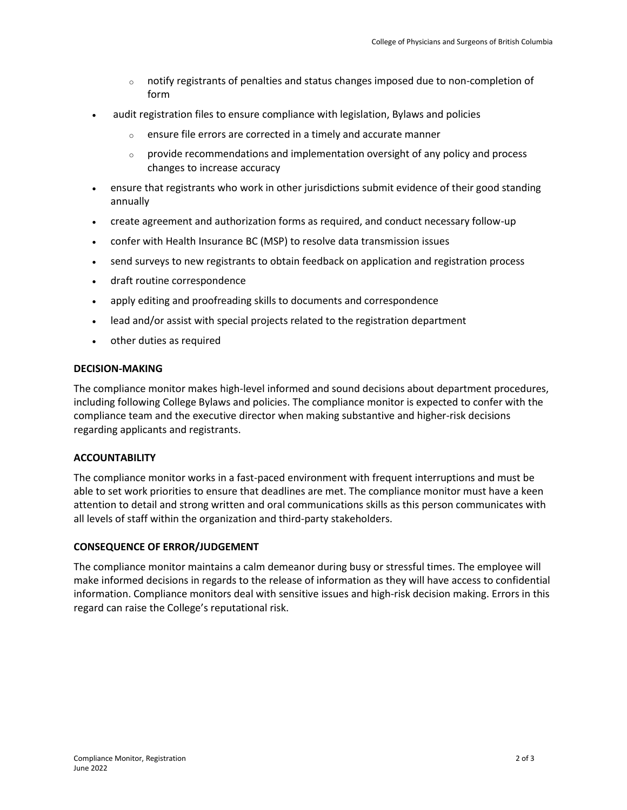- $\circ$  notify registrants of penalties and status changes imposed due to non-completion of form
- audit registration files to ensure compliance with legislation, Bylaws and policies
	- $\circ$  ensure file errors are corrected in a timely and accurate manner
	- $\circ$  provide recommendations and implementation oversight of any policy and process changes to increase accuracy
- ensure that registrants who work in other jurisdictions submit evidence of their good standing annually
- create agreement and authorization forms as required, and conduct necessary follow-up
- confer with Health Insurance BC (MSP) to resolve data transmission issues
- send surveys to new registrants to obtain feedback on application and registration process
- draft routine correspondence
- apply editing and proofreading skills to documents and correspondence
- lead and/or assist with special projects related to the registration department
- other duties as required

#### **DECISION-MAKING**

The compliance monitor makes high-level informed and sound decisions about department procedures, including following College Bylaws and policies. The compliance monitor is expected to confer with the compliance team and the executive director when making substantive and higher-risk decisions regarding applicants and registrants.

#### **ACCOUNTABILITY**

The compliance monitor works in a fast-paced environment with frequent interruptions and must be able to set work priorities to ensure that deadlines are met. The compliance monitor must have a keen attention to detail and strong written and oral communications skills as this person communicates with all levels of staff within the organization and third-party stakeholders.

#### **CONSEQUENCE OF ERROR/JUDGEMENT**

The compliance monitor maintains a calm demeanor during busy or stressful times. The employee will make informed decisions in regards to the release of information as they will have access to confidential information. Compliance monitors deal with sensitive issues and high-risk decision making. Errors in this regard can raise the College's reputational risk.